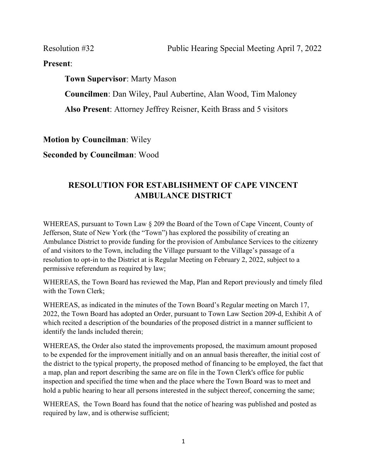Present:

Town Supervisor: Marty Mason Councilmen: Dan Wiley, Paul Aubertine, Alan Wood, Tim Maloney Also Present: Attorney Jeffrey Reisner, Keith Brass and 5 visitors

Motion by Councilman: Wiley

Seconded by Councilman: Wood

## RESOLUTION FOR ESTABLISHMENT OF CAPE VINCENT AMBULANCE DISTRICT

WHEREAS, pursuant to Town Law § 209 the Board of the Town of Cape Vincent, County of Jefferson, State of New York (the "Town") has explored the possibility of creating an Ambulance District to provide funding for the provision of Ambulance Services to the citizenry of and visitors to the Town, including the Village pursuant to the Village's passage of a resolution to opt-in to the District at is Regular Meeting on February 2, 2022, subject to a permissive referendum as required by law;

WHEREAS, the Town Board has reviewed the Map, Plan and Report previously and timely filed with the Town Clerk;

WHEREAS, as indicated in the minutes of the Town Board's Regular meeting on March 17, 2022, the Town Board has adopted an Order, pursuant to Town Law Section 209-d, Exhibit A of which recited a description of the boundaries of the proposed district in a manner sufficient to identify the lands included therein;

WHEREAS, the Order also stated the improvements proposed, the maximum amount proposed to be expended for the improvement initially and on an annual basis thereafter, the initial cost of the district to the typical property, the proposed method of financing to be employed, the fact that a map, plan and report describing the same are on file in the Town Clerk's office for public inspection and specified the time when and the place where the Town Board was to meet and hold a public hearing to hear all persons interested in the subject thereof, concerning the same;

WHEREAS, the Town Board has found that the notice of hearing was published and posted as required by law, and is otherwise sufficient;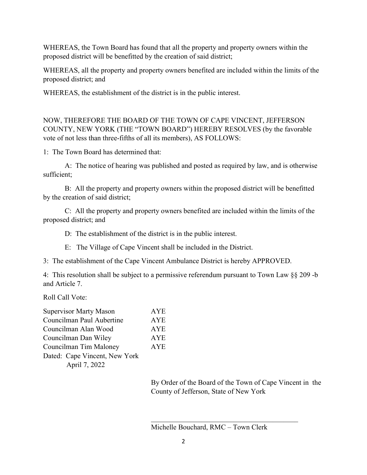WHEREAS, the Town Board has found that all the property and property owners within the proposed district will be benefitted by the creation of said district;

WHEREAS, all the property and property owners benefited are included within the limits of the proposed district; and

WHEREAS, the establishment of the district is in the public interest.

NOW, THEREFORE THE BOARD OF THE TOWN OF CAPE VINCENT, JEFFERSON COUNTY, NEW YORK (THE "TOWN BOARD") HEREBY RESOLVES (by the favorable vote of not less than three-fifths of all its members), AS FOLLOWS:

1: The Town Board has determined that:

 A: The notice of hearing was published and posted as required by law, and is otherwise sufficient;

B: All the property and property owners within the proposed district will be benefitted by the creation of said district;

C: All the property and property owners benefited are included within the limits of the proposed district; and

D: The establishment of the district is in the public interest.

E: The Village of Cape Vincent shall be included in the District.

3: The establishment of the Cape Vincent Ambulance District is hereby APPROVED.

4: This resolution shall be subject to a permissive referendum pursuant to Town Law §§ 209 -b and Article 7.

Roll Call Vote:

| <b>Supervisor Marty Mason</b> | AYE        |
|-------------------------------|------------|
| Councilman Paul Aubertine     | <b>AYE</b> |
| Councilman Alan Wood          | <b>AYE</b> |
| Councilman Dan Wiley          | <b>AYE</b> |
| Councilman Tim Maloney        | <b>AYE</b> |
| Dated: Cape Vincent, New York |            |
| April 7, 2022                 |            |

 By Order of the Board of the Town of Cape Vincent in the County of Jefferson, State of New York

Michelle Bouchard, RMC – Town Clerk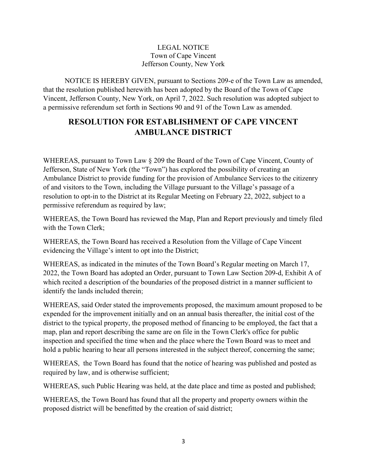## LEGAL NOTICE Town of Cape Vincent Jefferson County, New York

NOTICE IS HEREBY GIVEN, pursuant to Sections 209-e of the Town Law as amended, that the resolution published herewith has been adopted by the Board of the Town of Cape Vincent, Jefferson County, New York, on April 7, 2022. Such resolution was adopted subject to a permissive referendum set forth in Sections 90 and 91 of the Town Law as amended.

## RESOLUTION FOR ESTABLISHMENT OF CAPE VINCENT AMBULANCE DISTRICT

WHEREAS, pursuant to Town Law § 209 the Board of the Town of Cape Vincent, County of Jefferson, State of New York (the "Town") has explored the possibility of creating an Ambulance District to provide funding for the provision of Ambulance Services to the citizenry of and visitors to the Town, including the Village pursuant to the Village's passage of a resolution to opt-in to the District at its Regular Meeting on February 22, 2022, subject to a permissive referendum as required by law;

WHEREAS, the Town Board has reviewed the Map, Plan and Report previously and timely filed with the Town Clerk;

WHEREAS, the Town Board has received a Resolution from the Village of Cape Vincent evidencing the Village's intent to opt into the District;

WHEREAS, as indicated in the minutes of the Town Board's Regular meeting on March 17, 2022, the Town Board has adopted an Order, pursuant to Town Law Section 209-d, Exhibit A of which recited a description of the boundaries of the proposed district in a manner sufficient to identify the lands included therein;

WHEREAS, said Order stated the improvements proposed, the maximum amount proposed to be expended for the improvement initially and on an annual basis thereafter, the initial cost of the district to the typical property, the proposed method of financing to be employed, the fact that a map, plan and report describing the same are on file in the Town Clerk's office for public inspection and specified the time when and the place where the Town Board was to meet and hold a public hearing to hear all persons interested in the subject thereof, concerning the same;

WHEREAS, the Town Board has found that the notice of hearing was published and posted as required by law, and is otherwise sufficient;

WHEREAS, such Public Hearing was held, at the date place and time as posted and published;

WHEREAS, the Town Board has found that all the property and property owners within the proposed district will be benefitted by the creation of said district;